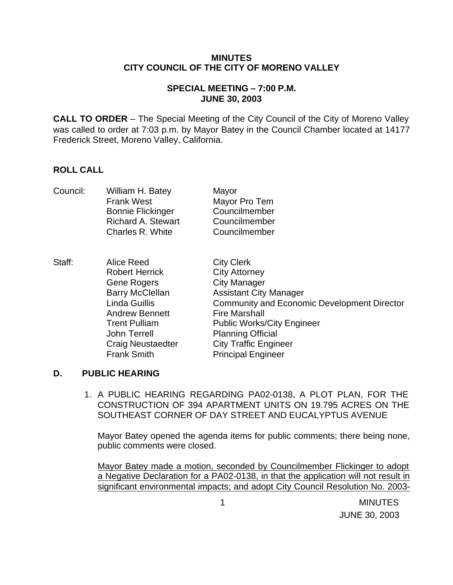#### **MINUTES CITY COUNCIL OF THE CITY OF MORENO VALLEY**

# **SPECIAL MEETING – 7:00 P.M. JUNE 30, 2003**

**CALL TO ORDER** – The Special Meeting of the City Council of the City of Moreno Valley was called to order at 7:03 p.m. by Mayor Batey in the Council Chamber located at 14177 Frederick Street, Moreno Valley, California.

# **ROLL CALL**

| Council: | William H. Batey<br><b>Frank West</b><br><b>Bonnie Flickinger</b><br><b>Richard A. Stewart</b><br>Charles R. White                                                                                                      | Mayor<br>Mayor Pro Tem<br>Councilmember<br>Councilmember<br>Councilmember                                                                                                                                                                                                                                     |
|----------|-------------------------------------------------------------------------------------------------------------------------------------------------------------------------------------------------------------------------|---------------------------------------------------------------------------------------------------------------------------------------------------------------------------------------------------------------------------------------------------------------------------------------------------------------|
| Staff:   | Alice Reed<br><b>Robert Herrick</b><br>Gene Rogers<br><b>Barry McClellan</b><br>Linda Guillis<br><b>Andrew Bennett</b><br><b>Trent Pulliam</b><br><b>John Terrell</b><br><b>Craig Neustaedter</b><br><b>Frank Smith</b> | <b>City Clerk</b><br><b>City Attorney</b><br><b>City Manager</b><br><b>Assistant City Manager</b><br><b>Community and Economic Development Director</b><br><b>Fire Marshall</b><br><b>Public Works/City Engineer</b><br><b>Planning Official</b><br><b>City Traffic Engineer</b><br><b>Principal Engineer</b> |

# **D. PUBLIC HEARING**

1. A PUBLIC HEARING REGARDING PA02-0138, A PLOT PLAN, FOR THE CONSTRUCTION OF 394 APARTMENT UNITS ON 19.795 ACRES ON THE SOUTHEAST CORNER OF DAY STREET AND EUCALYPTUS AVENUE

Mayor Batey opened the agenda items for public comments; there being none, public comments were closed.

Mayor Batey made a motion, seconded by Councilmember Flickinger to adopt a Negative Declaration for a PA02-0138, in that the application will not result in significant environmental impacts; and adopt City Council Resolution No. 2003-